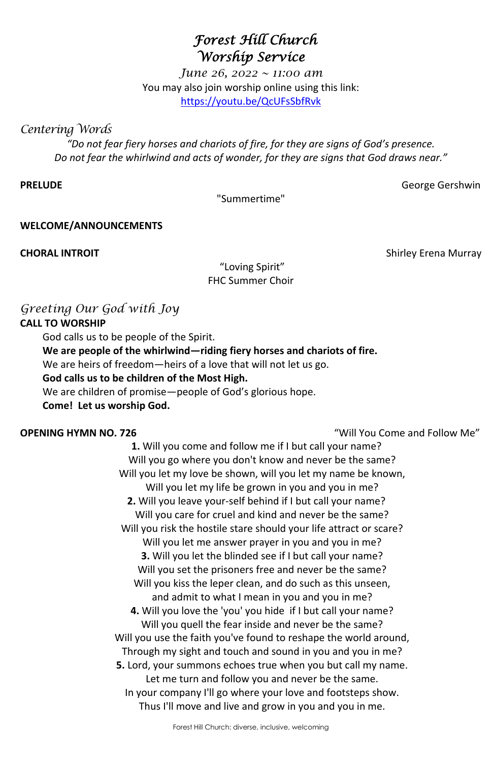Forest Hill Church: diverse, inclusive, welcoming

# *Forest Hill Church Worship Service*

*June 26, 2022 ~ 11:00 am* You may also join worship online using this link: <https://youtu.be/QcUFsSbfRvk>

*Centering Words* 

*"Do not fear fiery horses and chariots of fire, for they are signs of God's presence. Do not fear the whirlwind and acts of wonder, for they are signs that God draws near."*

**PRELUDE** George Gershwin

"Summertime"

**WELCOME/ANNOUNCEMENTS** 

"Loving Spirit" FHC Summer Choir

# *Greeting Our God with Joy*

## **CALL TO WORSHIP**

God calls us to be people of the Spirit.

**We are people of the whirlwind—riding fiery horses and chariots of fire.**

We are heirs of freedom—heirs of a love that will not let us go.

## **God calls us to be children of the Most High.**

We are children of promise—people of God's glorious hope.

**Come! Let us worship God.**

**OPENING HYMN NO. 726** "Will You Come and Follow Me"

**1.** Will you come and follow me if I but call your name? Will you go where you don't know and never be the same? Will you let my love be shown, will you let my name be known, Will you let my life be grown in you and you in me? **2.** Will you leave your-self behind if I but call your name? Will you care for cruel and kind and never be the same?

Will you risk the hostile stare should your life attract or scare?

Will you let me answer prayer in you and you in me?

**3.** Will you let the blinded see if I but call your name?

**CHORAL INTROIT** Shirley Erena Murray

Will you set the prisoners free and never be the same? Will you kiss the leper clean, and do such as this unseen, and admit to what I mean in you and you in me? **4.** Will you love the 'you' you hide if I but call your name? Will you quell the fear inside and never be the same? Will you use the faith you've found to reshape the world around, Through my sight and touch and sound in you and you in me? **5.** Lord, your summons echoes true when you but call my name. Let me turn and follow you and never be the same. In your company I'll go where your love and footsteps show. Thus I'll move and live and grow in you and you in me.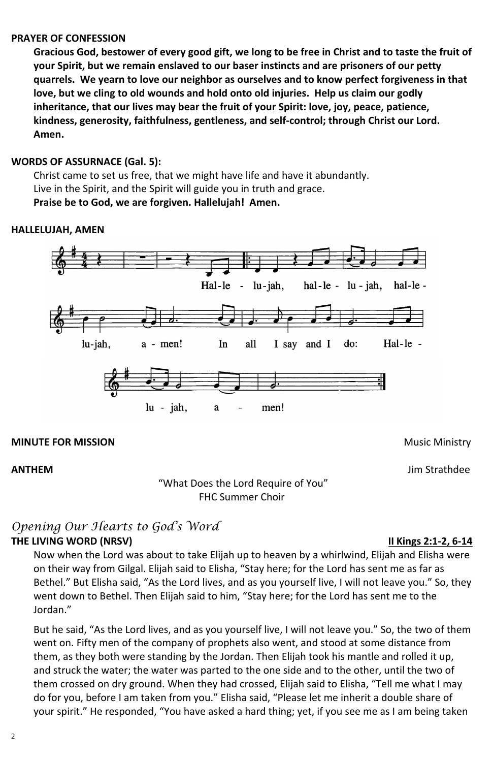## **PRAYER OF CONFESSION**

**Gracious God, bestower of every good gift, we long to be free in Christ and to taste the fruit of your Spirit, but we remain enslaved to our baser instincts and are prisoners of our petty quarrels. We yearn to love our neighbor as ourselves and to know perfect forgiveness in that love, but we cling to old wounds and hold onto old injuries. Help us claim our godly inheritance, that our lives may bear the fruit of your Spirit: love, joy, peace, patience, kindness, generosity, faithfulness, gentleness, and self-control; through Christ our Lord. Amen.**

## *Opening Our Hearts to God's Word* **THE LIVING WORD (NRSV) II Kings 2:1-2, 6-14**

## **WORDS OF ASSURNACE (Gal. 5):**

Christ came to set us free, that we might have life and have it abundantly. Live in the Spirit, and the Spirit will guide you in truth and grace. **Praise be to God, we are forgiven. Hallelujah! Amen.**

## **HALLELUJAH, AMEN**



### **MINUTE FOR MISSION MINUTE FOR MISSION**

**ANTHEM** Jim Strathdee

"What Does the Lord Require of You" FHC Summer Choir

Now when the Lord was about to take Elijah up to heaven by a whirlwind, Elijah and Elisha were

on their way from Gilgal. Elijah said to Elisha, "Stay here; for the Lord has sent me as far as Bethel." But Elisha said, "As the Lord lives, and as you yourself live, I will not leave you." So, they went down to Bethel. Then Elijah said to him, "Stay here; for the Lord has sent me to the Jordan."

But he said, "As the Lord lives, and as you yourself live, I will not leave you." So, the two of them went on. Fifty men of the company of prophets also went, and stood at some distance from them, as they both were standing by the Jordan. Then Elijah took his mantle and rolled it up, and struck the water; the water was parted to the one side and to the other, until the two of them crossed on dry ground. When they had crossed, Elijah said to Elisha, "Tell me what I may do for you, before I am taken from you." Elisha said, "Please let me inherit a double share of your spirit." He responded, "You have asked a hard thing; yet, if you see me as I am being taken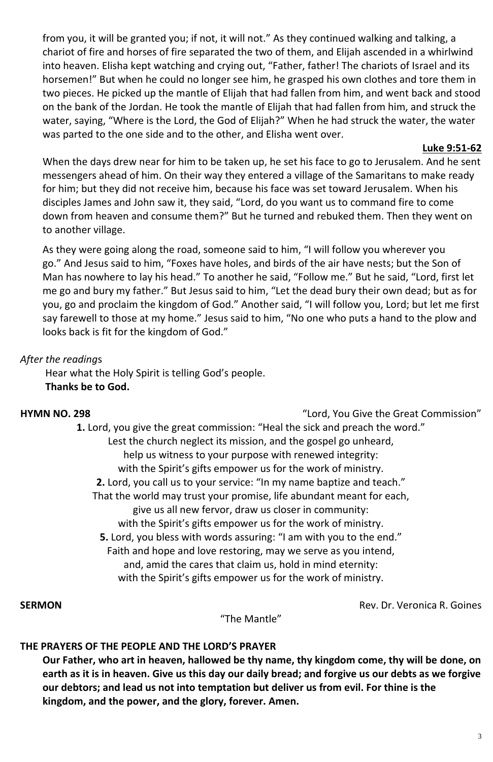from you, it will be granted you; if not, it will not." As they continued walking and talking, a chariot of fire and horses of fire separated the two of them, and Elijah ascended in a whirlwind into heaven. Elisha kept watching and crying out, "Father, father! The chariots of Israel and its horsemen!" But when he could no longer see him, he grasped his own clothes and tore them in two pieces. He picked up the mantle of Elijah that had fallen from him, and went back and stood on the bank of the Jordan. He took the mantle of Elijah that had fallen from him, and struck the water, saying, "Where is the Lord, the God of Elijah?" When he had struck the water, the water was parted to the one side and to the other, and Elisha went over.

## **Luke 9:51-62**

When the days drew near for him to be taken up, he set his face to go to Jerusalem. And he sent messengers ahead of him. On their way they entered a village of the Samaritans to make ready for him; but they did not receive him, because his face was set toward Jerusalem. When his disciples James and John saw it, they said, "Lord, do you want us to command fire to come down from heaven and consume them?" But he turned and rebuked them. Then they went on to another village.

As they were going along the road, someone said to him, "I will follow you wherever you go." And Jesus said to him, "Foxes have holes, and birds of the air have nests; but the Son of Man has nowhere to lay his head." To another he said, "Follow me." But he said, "Lord, first let me go and bury my father." But Jesus said to him, "Let the dead bury their own dead; but as for you, go and proclaim the kingdom of God." Another said, "I will follow you, Lord; but let me first say farewell to those at my home." Jesus said to him, "No one who puts a hand to the plow and looks back is fit for the kingdom of God."

## *After the reading*s

Hear what the Holy Spirit is telling God's people. **Thanks be to God.**

**HYMN NO. 298** "Lord, You Give the Great Commission"

**1.** Lord, you give the great commission: "Heal the sick and preach the word." Lest the church neglect its mission, and the gospel go unheard, help us witness to your purpose with renewed integrity: with the Spirit's gifts empower us for the work of ministry. **2.** Lord, you call us to your service: "In my name baptize and teach." That the world may trust your promise, life abundant meant for each, give us all new fervor, draw us closer in community: with the Spirit's gifts empower us for the work of ministry. **5.** Lord, you bless with words assuring: "I am with you to the end." Faith and hope and love restoring, may we serve as you intend, and, amid the cares that claim us, hold in mind eternity: with the Spirit's gifts empower us for the work of ministry.

**SERMON** *Rev. Dr. Veronica R. Goines* 

"The Mantle"

### **THE PRAYERS OF THE PEOPLE AND THE LORD'S PRAYER**

**Our Father, who art in heaven, hallowed be thy name, thy kingdom come, thy will be done, on earth as it is in heaven. Give us this day our daily bread; and forgive us our debts as we forgive our debtors; and lead us not into temptation but deliver us from evil. For thine is the kingdom, and the power, and the glory, forever. Amen.**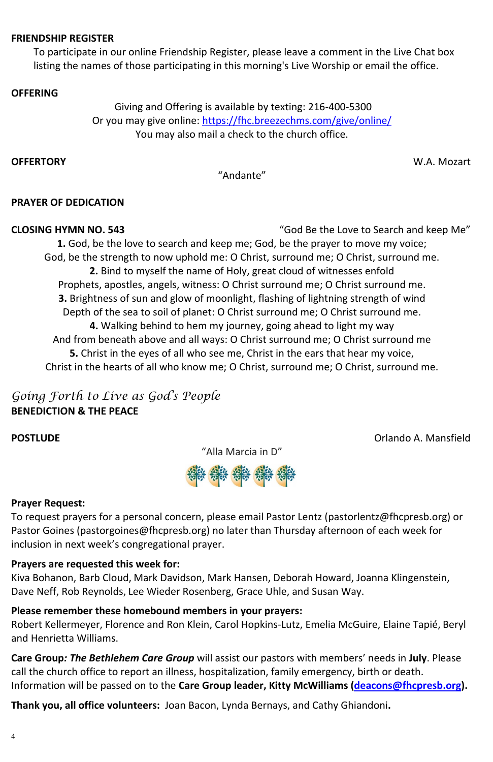### **FRIENDSHIP REGISTER**

To participate in our online Friendship Register, please leave a comment in the Live Chat box listing the names of those participating in this morning's Live Worship or email the office.

## **OFFERING**

[Giving and Offering is available by texting: 216-400-5300](https://www.fhcpresb.org/social-justice-outreach/stewardship-2015/giving/#paypal) Or you may give online:<https://fhc.breezechms.com/give/online/> You may also mail a check to the church office.

**OFFERTORY** W.A. Mozart

"Andante"

## **PRAYER OF DEDICATION**

**CLOSING HYMN NO. 543** "God Be the Love to Search and keep Me" **1.** God, be the love to search and keep me; God, be the prayer to move my voice; God, be the strength to now uphold me: O Christ, surround me; O Christ, surround me. **2.** Bind to myself the name of Holy, great cloud of witnesses enfold Prophets, apostles, angels, witness: O Christ surround me; O Christ surround me. **3.** Brightness of sun and glow of moonlight, flashing of lightning strength of wind Depth of the sea to soil of planet: O Christ surround me; O Christ surround me. **4.** Walking behind to hem my journey, going ahead to light my way And from beneath above and all ways: O Christ surround me; O Christ surround me **5.** Christ in the eyes of all who see me, Christ in the ears that hear my voice, Christ in the hearts of all who know me; O Christ, surround me; O Christ, surround me.

## *Going Forth to Live as God's People* **BENEDICTION & THE PEACE**

**POSTLUDE CONSTIGNATION CONSTIGNATION CONSTIGNATION CONSTIGNATION CONSTIGNATION CONSTIGNATION CONSTIGNATION** 

"Alla Marcia in D"



## **Prayer Request:**

To request prayers for a personal concern, please email Pastor Lentz [\(pastorlentz@fhcpresb.org\)](file://///fhcserver2019/data/Worship%20Services/2022%20Bulletins/pastorlentz@fhcpresb.org) or Pastor Goines [\(pastorgoines@fhcpresb.org\) no later than Thursday afternoon of each week for](mailto:pastorgoines@fhcpresb.org) inclusion in next week's congregational prayer.

### **Prayers are requested this week for:**

Kiva Bohanon, Barb Cloud, Mark Davidson, Mark Hansen, Deborah Howard, Joanna Klingenstein, Dave Neff, Rob Reynolds, Lee Wieder Rosenberg, Grace Uhle, and Susan Way.

### **Please remember these homebound members in your prayers:**

Robert Kellermeyer, Florence and Ron Klein, Carol Hopkins-Lutz, Emelia McGuire, Elaine Tapié, Beryl and Henrietta Williams.

**Care Group***: The Bethlehem Care Group* will assist our pastors with members' needs in **July**. Please call the church office to report an illness, hospitalization, family emergency, birth or death. Information will be passed on to the **Care Group leader, Kitty McWilliams [\(deacons@fhcpresb.org\)](mailto:deacons@fhcpresb.org).** 

**Thank you, all office volunteers:** Joan Bacon, Lynda Bernays, and Cathy Ghiandoni**.**